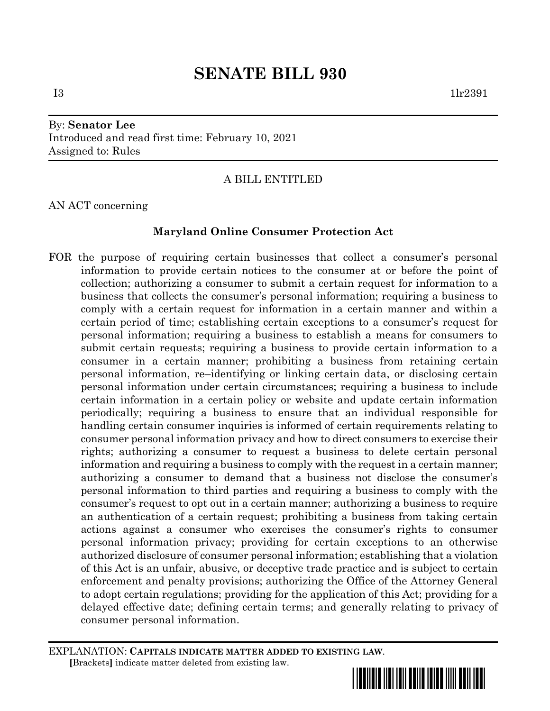# By: **Senator Lee** Introduced and read first time: February 10, 2021 Assigned to: Rules

# A BILL ENTITLED

AN ACT concerning

# **Maryland Online Consumer Protection Act**

FOR the purpose of requiring certain businesses that collect a consumer's personal information to provide certain notices to the consumer at or before the point of collection; authorizing a consumer to submit a certain request for information to a business that collects the consumer's personal information; requiring a business to comply with a certain request for information in a certain manner and within a certain period of time; establishing certain exceptions to a consumer's request for personal information; requiring a business to establish a means for consumers to submit certain requests; requiring a business to provide certain information to a consumer in a certain manner; prohibiting a business from retaining certain personal information, re–identifying or linking certain data, or disclosing certain personal information under certain circumstances; requiring a business to include certain information in a certain policy or website and update certain information periodically; requiring a business to ensure that an individual responsible for handling certain consumer inquiries is informed of certain requirements relating to consumer personal information privacy and how to direct consumers to exercise their rights; authorizing a consumer to request a business to delete certain personal information and requiring a business to comply with the request in a certain manner; authorizing a consumer to demand that a business not disclose the consumer's personal information to third parties and requiring a business to comply with the consumer's request to opt out in a certain manner; authorizing a business to require an authentication of a certain request; prohibiting a business from taking certain actions against a consumer who exercises the consumer's rights to consumer personal information privacy; providing for certain exceptions to an otherwise authorized disclosure of consumer personal information; establishing that a violation of this Act is an unfair, abusive, or deceptive trade practice and is subject to certain enforcement and penalty provisions; authorizing the Office of the Attorney General to adopt certain regulations; providing for the application of this Act; providing for a delayed effective date; defining certain terms; and generally relating to privacy of consumer personal information.

EXPLANATION: **CAPITALS INDICATE MATTER ADDED TO EXISTING LAW**.  **[**Brackets**]** indicate matter deleted from existing law.

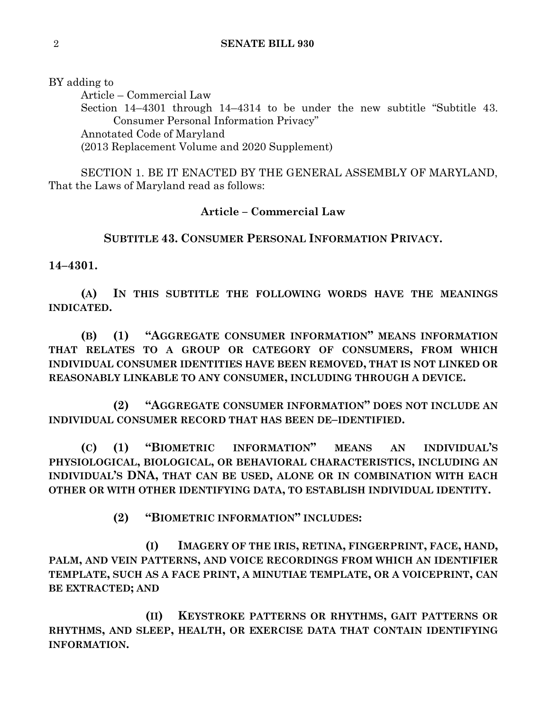BY adding to

Article – Commercial Law Section 14–4301 through 14–4314 to be under the new subtitle "Subtitle 43. Consumer Personal Information Privacy" Annotated Code of Maryland (2013 Replacement Volume and 2020 Supplement)

SECTION 1. BE IT ENACTED BY THE GENERAL ASSEMBLY OF MARYLAND, That the Laws of Maryland read as follows:

## **Article – Commercial Law**

# **SUBTITLE 43. CONSUMER PERSONAL INFORMATION PRIVACY.**

**14–4301.**

**(A) IN THIS SUBTITLE THE FOLLOWING WORDS HAVE THE MEANINGS INDICATED.**

**(B) (1) "AGGREGATE CONSUMER INFORMATION" MEANS INFORMATION THAT RELATES TO A GROUP OR CATEGORY OF CONSUMERS, FROM WHICH INDIVIDUAL CONSUMER IDENTITIES HAVE BEEN REMOVED, THAT IS NOT LINKED OR REASONABLY LINKABLE TO ANY CONSUMER, INCLUDING THROUGH A DEVICE.**

**(2) "AGGREGATE CONSUMER INFORMATION" DOES NOT INCLUDE AN INDIVIDUAL CONSUMER RECORD THAT HAS BEEN DE–IDENTIFIED.**

**(C) (1) "BIOMETRIC INFORMATION" MEANS AN INDIVIDUAL'S PHYSIOLOGICAL, BIOLOGICAL, OR BEHAVIORAL CHARACTERISTICS, INCLUDING AN INDIVIDUAL'S DNA, THAT CAN BE USED, ALONE OR IN COMBINATION WITH EACH OTHER OR WITH OTHER IDENTIFYING DATA, TO ESTABLISH INDIVIDUAL IDENTITY.**

**(2) "BIOMETRIC INFORMATION" INCLUDES:**

**(I) IMAGERY OF THE IRIS, RETINA, FINGERPRINT, FACE, HAND, PALM, AND VEIN PATTERNS, AND VOICE RECORDINGS FROM WHICH AN IDENTIFIER TEMPLATE, SUCH AS A FACE PRINT, A MINUTIAE TEMPLATE, OR A VOICEPRINT, CAN BE EXTRACTED; AND**

**(II) KEYSTROKE PATTERNS OR RHYTHMS, GAIT PATTERNS OR RHYTHMS, AND SLEEP, HEALTH, OR EXERCISE DATA THAT CONTAIN IDENTIFYING INFORMATION.**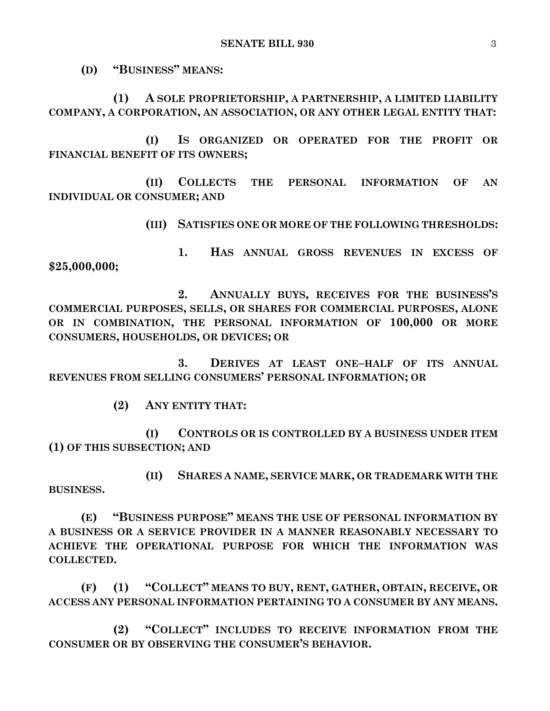**(D) "BUSINESS" MEANS:**

**(1) A SOLE PROPRIETORSHIP, A PARTNERSHIP, A LIMITED LIABILITY COMPANY, A CORPORATION, AN ASSOCIATION, OR ANY OTHER LEGAL ENTITY THAT:**

**(I) IS ORGANIZED OR OPERATED FOR THE PROFIT OR FINANCIAL BENEFIT OF ITS OWNERS;**

**(II) COLLECTS THE PERSONAL INFORMATION OF AN INDIVIDUAL OR CONSUMER; AND**

**(III) SATISFIES ONE OR MORE OF THE FOLLOWING THRESHOLDS:**

**1. HAS ANNUAL GROSS REVENUES IN EXCESS OF \$25,000,000;**

**2. ANNUALLY BUYS, RECEIVES FOR THE BUSINESS'S COMMERCIAL PURPOSES, SELLS, OR SHARES FOR COMMERCIAL PURPOSES, ALONE OR IN COMBINATION, THE PERSONAL INFORMATION OF 100,000 OR MORE CONSUMERS, HOUSEHOLDS, OR DEVICES; OR**

**3. DERIVES AT LEAST ONE–HALF OF ITS ANNUAL REVENUES FROM SELLING CONSUMERS' PERSONAL INFORMATION; OR**

**(2) ANY ENTITY THAT:**

**(I) CONTROLS OR IS CONTROLLED BY A BUSINESS UNDER ITEM (1) OF THIS SUBSECTION; AND**

**(II) SHARES A NAME, SERVICE MARK, OR TRADEMARK WITH THE BUSINESS.**

**(E) "BUSINESS PURPOSE" MEANS THE USE OF PERSONAL INFORMATION BY A BUSINESS OR A SERVICE PROVIDER IN A MANNER REASONABLY NECESSARY TO ACHIEVE THE OPERATIONAL PURPOSE FOR WHICH THE INFORMATION WAS COLLECTED.**

**(F) (1) "COLLECT" MEANS TO BUY, RENT, GATHER, OBTAIN, RECEIVE, OR ACCESS ANY PERSONAL INFORMATION PERTAINING TO A CONSUMER BY ANY MEANS.**

**(2) "COLLECT" INCLUDES TO RECEIVE INFORMATION FROM THE CONSUMER OR BY OBSERVING THE CONSUMER'S BEHAVIOR.**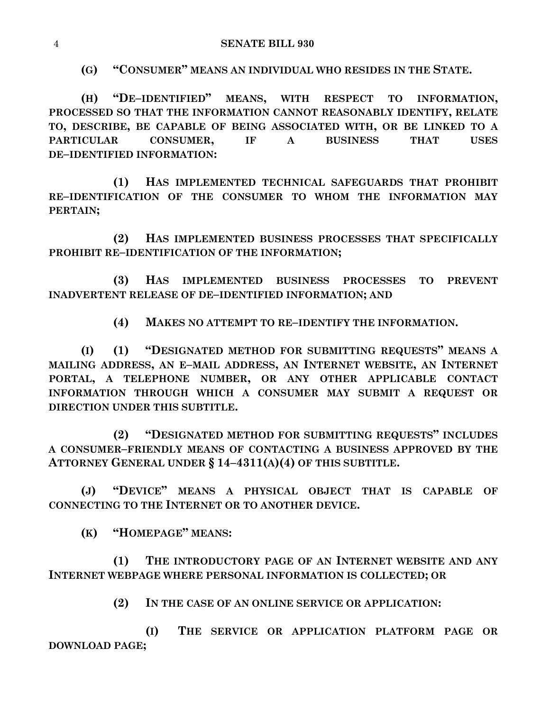**(G) "CONSUMER" MEANS AN INDIVIDUAL WHO RESIDES IN THE STATE.**

**(H) "DE–IDENTIFIED" MEANS, WITH RESPECT TO INFORMATION, PROCESSED SO THAT THE INFORMATION CANNOT REASONABLY IDENTIFY, RELATE TO, DESCRIBE, BE CAPABLE OF BEING ASSOCIATED WITH, OR BE LINKED TO A PARTICULAR CONSUMER, IF A BUSINESS THAT USES DE–IDENTIFIED INFORMATION:**

**(1) HAS IMPLEMENTED TECHNICAL SAFEGUARDS THAT PROHIBIT RE–IDENTIFICATION OF THE CONSUMER TO WHOM THE INFORMATION MAY PERTAIN;**

**(2) HAS IMPLEMENTED BUSINESS PROCESSES THAT SPECIFICALLY PROHIBIT RE–IDENTIFICATION OF THE INFORMATION;**

**(3) HAS IMPLEMENTED BUSINESS PROCESSES TO PREVENT INADVERTENT RELEASE OF DE–IDENTIFIED INFORMATION; AND**

**(4) MAKES NO ATTEMPT TO RE–IDENTIFY THE INFORMATION.**

**(I) (1) "DESIGNATED METHOD FOR SUBMITTING REQUESTS" MEANS A MAILING ADDRESS, AN E–MAIL ADDRESS, AN INTERNET WEBSITE, AN INTERNET PORTAL, A TELEPHONE NUMBER, OR ANY OTHER APPLICABLE CONTACT INFORMATION THROUGH WHICH A CONSUMER MAY SUBMIT A REQUEST OR DIRECTION UNDER THIS SUBTITLE.**

**(2) "DESIGNATED METHOD FOR SUBMITTING REQUESTS" INCLUDES A CONSUMER–FRIENDLY MEANS OF CONTACTING A BUSINESS APPROVED BY THE ATTORNEY GENERAL UNDER § 14–4311(A)(4) OF THIS SUBTITLE.**

**(J) "DEVICE" MEANS A PHYSICAL OBJECT THAT IS CAPABLE OF CONNECTING TO THE INTERNET OR TO ANOTHER DEVICE.**

**(K) "HOMEPAGE" MEANS:**

**(1) THE INTRODUCTORY PAGE OF AN INTERNET WEBSITE AND ANY INTERNET WEBPAGE WHERE PERSONAL INFORMATION IS COLLECTED; OR**

**(2) IN THE CASE OF AN ONLINE SERVICE OR APPLICATION:**

**(I) THE SERVICE OR APPLICATION PLATFORM PAGE OR DOWNLOAD PAGE;**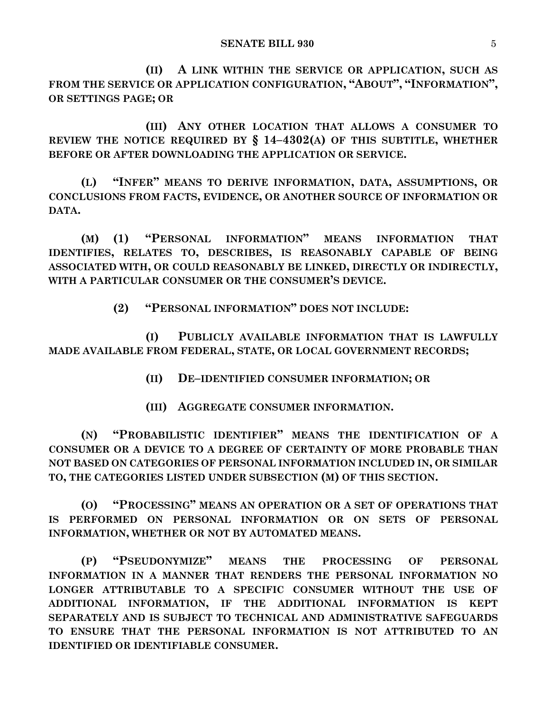**(II) A LINK WITHIN THE SERVICE OR APPLICATION, SUCH AS FROM THE SERVICE OR APPLICATION CONFIGURATION, "ABOUT", "INFORMATION", OR SETTINGS PAGE; OR**

**(III) ANY OTHER LOCATION THAT ALLOWS A CONSUMER TO REVIEW THE NOTICE REQUIRED BY § 14–4302(A) OF THIS SUBTITLE, WHETHER BEFORE OR AFTER DOWNLOADING THE APPLICATION OR SERVICE.**

**(L) "INFER" MEANS TO DERIVE INFORMATION, DATA, ASSUMPTIONS, OR CONCLUSIONS FROM FACTS, EVIDENCE, OR ANOTHER SOURCE OF INFORMATION OR DATA.**

**(M) (1) "PERSONAL INFORMATION" MEANS INFORMATION THAT IDENTIFIES, RELATES TO, DESCRIBES, IS REASONABLY CAPABLE OF BEING ASSOCIATED WITH, OR COULD REASONABLY BE LINKED, DIRECTLY OR INDIRECTLY, WITH A PARTICULAR CONSUMER OR THE CONSUMER'S DEVICE.**

**(2) "PERSONAL INFORMATION" DOES NOT INCLUDE:**

**(I) PUBLICLY AVAILABLE INFORMATION THAT IS LAWFULLY MADE AVAILABLE FROM FEDERAL, STATE, OR LOCAL GOVERNMENT RECORDS;**

**(II) DE–IDENTIFIED CONSUMER INFORMATION; OR**

**(III) AGGREGATE CONSUMER INFORMATION.**

**(N) "PROBABILISTIC IDENTIFIER" MEANS THE IDENTIFICATION OF A CONSUMER OR A DEVICE TO A DEGREE OF CERTAINTY OF MORE PROBABLE THAN NOT BASED ON CATEGORIES OF PERSONAL INFORMATION INCLUDED IN, OR SIMILAR TO, THE CATEGORIES LISTED UNDER SUBSECTION (M) OF THIS SECTION.**

**(O) "PROCESSING" MEANS AN OPERATION OR A SET OF OPERATIONS THAT IS PERFORMED ON PERSONAL INFORMATION OR ON SETS OF PERSONAL INFORMATION, WHETHER OR NOT BY AUTOMATED MEANS.**

**(P) "PSEUDONYMIZE" MEANS THE PROCESSING OF PERSONAL INFORMATION IN A MANNER THAT RENDERS THE PERSONAL INFORMATION NO LONGER ATTRIBUTABLE TO A SPECIFIC CONSUMER WITHOUT THE USE OF ADDITIONAL INFORMATION, IF THE ADDITIONAL INFORMATION IS KEPT SEPARATELY AND IS SUBJECT TO TECHNICAL AND ADMINISTRATIVE SAFEGUARDS TO ENSURE THAT THE PERSONAL INFORMATION IS NOT ATTRIBUTED TO AN IDENTIFIED OR IDENTIFIABLE CONSUMER.**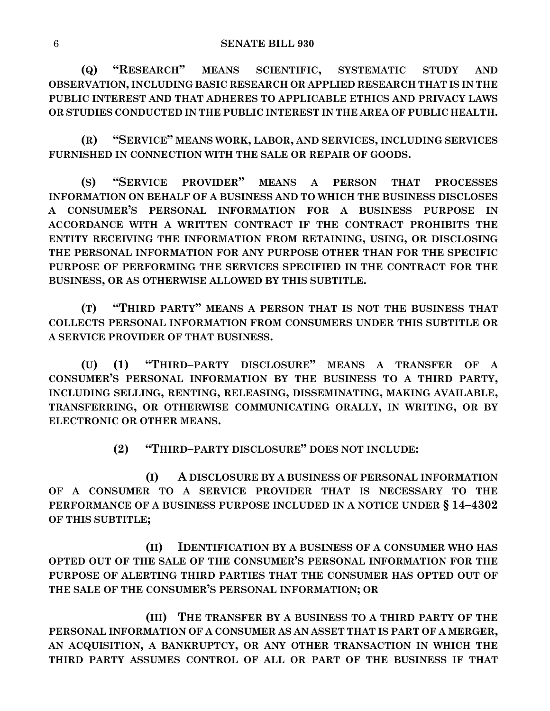**(Q) "RESEARCH" MEANS SCIENTIFIC, SYSTEMATIC STUDY AND OBSERVATION, INCLUDING BASIC RESEARCH OR APPLIED RESEARCH THAT IS IN THE PUBLIC INTEREST AND THAT ADHERES TO APPLICABLE ETHICS AND PRIVACY LAWS OR STUDIES CONDUCTED IN THE PUBLIC INTEREST IN THE AREA OF PUBLIC HEALTH.**

**(R) "SERVICE" MEANS WORK, LABOR, AND SERVICES, INCLUDING SERVICES FURNISHED IN CONNECTION WITH THE SALE OR REPAIR OF GOODS.**

**(S) "SERVICE PROVIDER" MEANS A PERSON THAT PROCESSES INFORMATION ON BEHALF OF A BUSINESS AND TO WHICH THE BUSINESS DISCLOSES A CONSUMER'S PERSONAL INFORMATION FOR A BUSINESS PURPOSE IN ACCORDANCE WITH A WRITTEN CONTRACT IF THE CONTRACT PROHIBITS THE ENTITY RECEIVING THE INFORMATION FROM RETAINING, USING, OR DISCLOSING THE PERSONAL INFORMATION FOR ANY PURPOSE OTHER THAN FOR THE SPECIFIC PURPOSE OF PERFORMING THE SERVICES SPECIFIED IN THE CONTRACT FOR THE BUSINESS, OR AS OTHERWISE ALLOWED BY THIS SUBTITLE.**

**(T) "THIRD PARTY" MEANS A PERSON THAT IS NOT THE BUSINESS THAT COLLECTS PERSONAL INFORMATION FROM CONSUMERS UNDER THIS SUBTITLE OR A SERVICE PROVIDER OF THAT BUSINESS.**

**(U) (1) "THIRD–PARTY DISCLOSURE" MEANS A TRANSFER OF A CONSUMER'S PERSONAL INFORMATION BY THE BUSINESS TO A THIRD PARTY, INCLUDING SELLING, RENTING, RELEASING, DISSEMINATING, MAKING AVAILABLE, TRANSFERRING, OR OTHERWISE COMMUNICATING ORALLY, IN WRITING, OR BY ELECTRONIC OR OTHER MEANS.**

**(2) "THIRD–PARTY DISCLOSURE" DOES NOT INCLUDE:**

**(I) A DISCLOSURE BY A BUSINESS OF PERSONAL INFORMATION OF A CONSUMER TO A SERVICE PROVIDER THAT IS NECESSARY TO THE PERFORMANCE OF A BUSINESS PURPOSE INCLUDED IN A NOTICE UNDER § 14–4302 OF THIS SUBTITLE;**

**(II) IDENTIFICATION BY A BUSINESS OF A CONSUMER WHO HAS OPTED OUT OF THE SALE OF THE CONSUMER'S PERSONAL INFORMATION FOR THE PURPOSE OF ALERTING THIRD PARTIES THAT THE CONSUMER HAS OPTED OUT OF THE SALE OF THE CONSUMER'S PERSONAL INFORMATION; OR**

**(III) THE TRANSFER BY A BUSINESS TO A THIRD PARTY OF THE PERSONAL INFORMATION OF A CONSUMER AS AN ASSET THAT IS PART OF A MERGER, AN ACQUISITION, A BANKRUPTCY, OR ANY OTHER TRANSACTION IN WHICH THE THIRD PARTY ASSUMES CONTROL OF ALL OR PART OF THE BUSINESS IF THAT**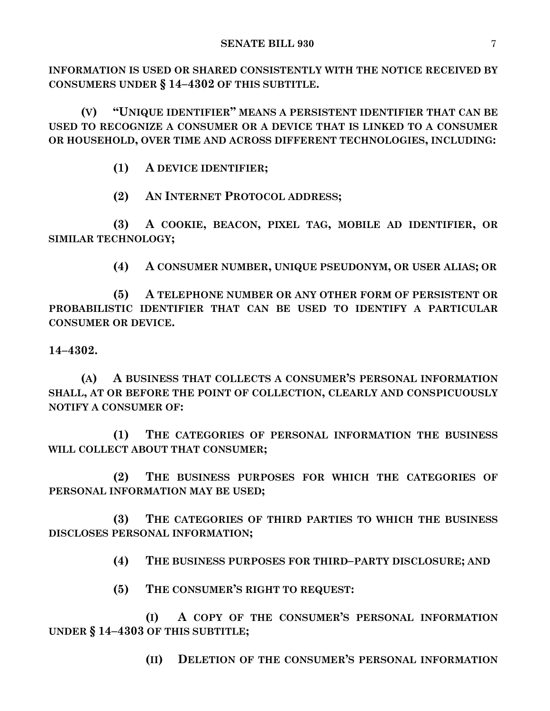**INFORMATION IS USED OR SHARED CONSISTENTLY WITH THE NOTICE RECEIVED BY CONSUMERS UNDER § 14–4302 OF THIS SUBTITLE.**

**(V) "UNIQUE IDENTIFIER" MEANS A PERSISTENT IDENTIFIER THAT CAN BE USED TO RECOGNIZE A CONSUMER OR A DEVICE THAT IS LINKED TO A CONSUMER OR HOUSEHOLD, OVER TIME AND ACROSS DIFFERENT TECHNOLOGIES, INCLUDING:**

**(1) A DEVICE IDENTIFIER;**

**(2) AN INTERNET PROTOCOL ADDRESS;**

**(3) A COOKIE, BEACON, PIXEL TAG, MOBILE AD IDENTIFIER, OR SIMILAR TECHNOLOGY;**

**(4) A CONSUMER NUMBER, UNIQUE PSEUDONYM, OR USER ALIAS; OR**

**(5) A TELEPHONE NUMBER OR ANY OTHER FORM OF PERSISTENT OR PROBABILISTIC IDENTIFIER THAT CAN BE USED TO IDENTIFY A PARTICULAR CONSUMER OR DEVICE.**

**14–4302.**

**(A) A BUSINESS THAT COLLECTS A CONSUMER'S PERSONAL INFORMATION SHALL, AT OR BEFORE THE POINT OF COLLECTION, CLEARLY AND CONSPICUOUSLY NOTIFY A CONSUMER OF:**

**(1) THE CATEGORIES OF PERSONAL INFORMATION THE BUSINESS WILL COLLECT ABOUT THAT CONSUMER;**

**(2) THE BUSINESS PURPOSES FOR WHICH THE CATEGORIES OF PERSONAL INFORMATION MAY BE USED;**

**(3) THE CATEGORIES OF THIRD PARTIES TO WHICH THE BUSINESS DISCLOSES PERSONAL INFORMATION;**

**(4) THE BUSINESS PURPOSES FOR THIRD–PARTY DISCLOSURE; AND**

**(5) THE CONSUMER'S RIGHT TO REQUEST:**

**(I) A COPY OF THE CONSUMER'S PERSONAL INFORMATION UNDER § 14–4303 OF THIS SUBTITLE;**

**(II) DELETION OF THE CONSUMER'S PERSONAL INFORMATION**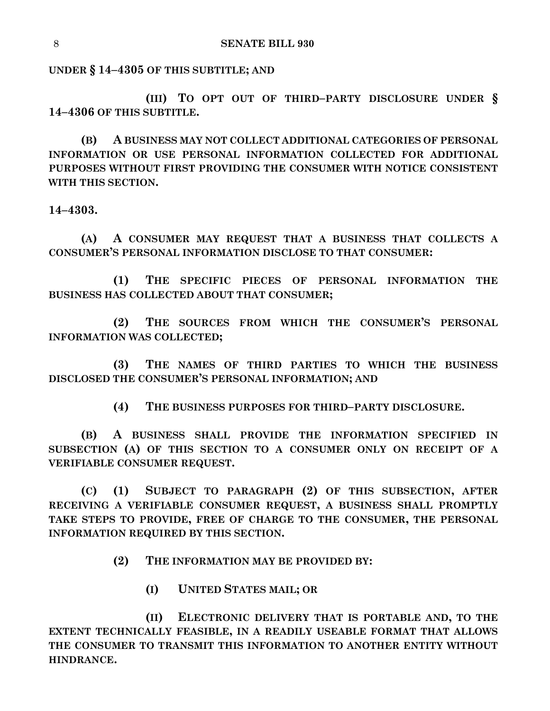**UNDER § 14–4305 OF THIS SUBTITLE; AND**

**(III) TO OPT OUT OF THIRD–PARTY DISCLOSURE UNDER § 14–4306 OF THIS SUBTITLE.**

**(B) A BUSINESS MAY NOT COLLECT ADDITIONAL CATEGORIES OF PERSONAL INFORMATION OR USE PERSONAL INFORMATION COLLECTED FOR ADDITIONAL PURPOSES WITHOUT FIRST PROVIDING THE CONSUMER WITH NOTICE CONSISTENT WITH THIS SECTION.**

**14–4303.**

**(A) A CONSUMER MAY REQUEST THAT A BUSINESS THAT COLLECTS A CONSUMER'S PERSONAL INFORMATION DISCLOSE TO THAT CONSUMER:**

**(1) THE SPECIFIC PIECES OF PERSONAL INFORMATION THE BUSINESS HAS COLLECTED ABOUT THAT CONSUMER;**

**(2) THE SOURCES FROM WHICH THE CONSUMER'S PERSONAL INFORMATION WAS COLLECTED;**

**(3) THE NAMES OF THIRD PARTIES TO WHICH THE BUSINESS DISCLOSED THE CONSUMER'S PERSONAL INFORMATION; AND**

**(4) THE BUSINESS PURPOSES FOR THIRD–PARTY DISCLOSURE.**

**(B) A BUSINESS SHALL PROVIDE THE INFORMATION SPECIFIED IN SUBSECTION (A) OF THIS SECTION TO A CONSUMER ONLY ON RECEIPT OF A VERIFIABLE CONSUMER REQUEST.**

**(C) (1) SUBJECT TO PARAGRAPH (2) OF THIS SUBSECTION, AFTER RECEIVING A VERIFIABLE CONSUMER REQUEST, A BUSINESS SHALL PROMPTLY TAKE STEPS TO PROVIDE, FREE OF CHARGE TO THE CONSUMER, THE PERSONAL INFORMATION REQUIRED BY THIS SECTION.**

**(2) THE INFORMATION MAY BE PROVIDED BY:**

**(I) UNITED STATES MAIL; OR**

**(II) ELECTRONIC DELIVERY THAT IS PORTABLE AND, TO THE EXTENT TECHNICALLY FEASIBLE, IN A READILY USEABLE FORMAT THAT ALLOWS THE CONSUMER TO TRANSMIT THIS INFORMATION TO ANOTHER ENTITY WITHOUT HINDRANCE.**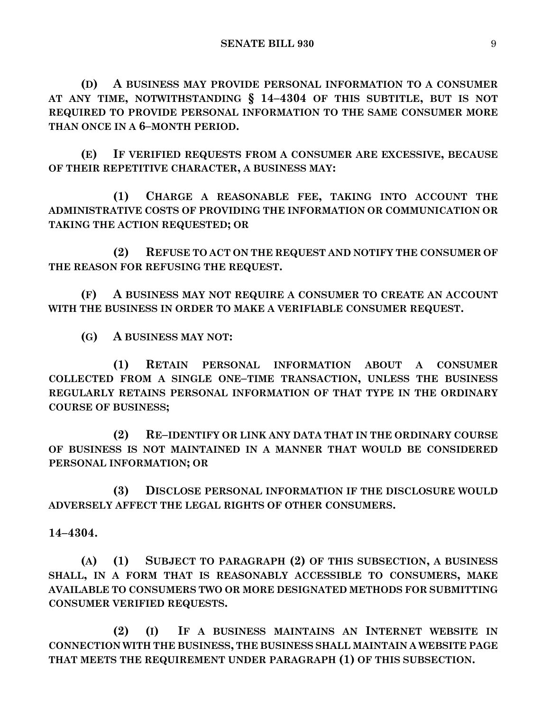**(D) A BUSINESS MAY PROVIDE PERSONAL INFORMATION TO A CONSUMER AT ANY TIME, NOTWITHSTANDING § 14–4304 OF THIS SUBTITLE, BUT IS NOT REQUIRED TO PROVIDE PERSONAL INFORMATION TO THE SAME CONSUMER MORE THAN ONCE IN A 6–MONTH PERIOD.**

**(E) IF VERIFIED REQUESTS FROM A CONSUMER ARE EXCESSIVE, BECAUSE OF THEIR REPETITIVE CHARACTER, A BUSINESS MAY:**

**(1) CHARGE A REASONABLE FEE, TAKING INTO ACCOUNT THE ADMINISTRATIVE COSTS OF PROVIDING THE INFORMATION OR COMMUNICATION OR TAKING THE ACTION REQUESTED; OR** 

**(2) REFUSE TO ACT ON THE REQUEST AND NOTIFY THE CONSUMER OF THE REASON FOR REFUSING THE REQUEST.**

**(F) A BUSINESS MAY NOT REQUIRE A CONSUMER TO CREATE AN ACCOUNT WITH THE BUSINESS IN ORDER TO MAKE A VERIFIABLE CONSUMER REQUEST.**

**(G) A BUSINESS MAY NOT:**

**(1) RETAIN PERSONAL INFORMATION ABOUT A CONSUMER COLLECTED FROM A SINGLE ONE–TIME TRANSACTION, UNLESS THE BUSINESS REGULARLY RETAINS PERSONAL INFORMATION OF THAT TYPE IN THE ORDINARY COURSE OF BUSINESS;**

**(2) RE–IDENTIFY OR LINK ANY DATA THAT IN THE ORDINARY COURSE OF BUSINESS IS NOT MAINTAINED IN A MANNER THAT WOULD BE CONSIDERED PERSONAL INFORMATION; OR**

**(3) DISCLOSE PERSONAL INFORMATION IF THE DISCLOSURE WOULD ADVERSELY AFFECT THE LEGAL RIGHTS OF OTHER CONSUMERS.**

**14–4304.**

**(A) (1) SUBJECT TO PARAGRAPH (2) OF THIS SUBSECTION, A BUSINESS SHALL, IN A FORM THAT IS REASONABLY ACCESSIBLE TO CONSUMERS, MAKE AVAILABLE TO CONSUMERS TWO OR MORE DESIGNATED METHODS FOR SUBMITTING CONSUMER VERIFIED REQUESTS.**

**(2) (I) IF A BUSINESS MAINTAINS AN INTERNET WEBSITE IN CONNECTION WITH THE BUSINESS, THE BUSINESS SHALL MAINTAIN A WEBSITE PAGE THAT MEETS THE REQUIREMENT UNDER PARAGRAPH (1) OF THIS SUBSECTION.**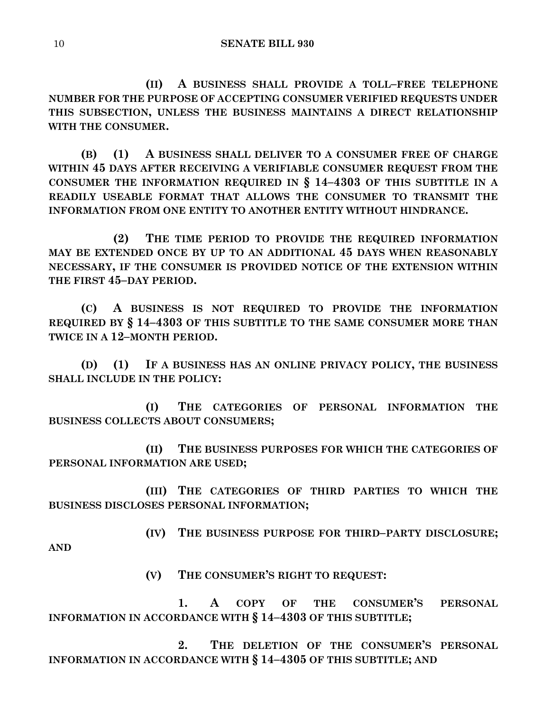**(II) A BUSINESS SHALL PROVIDE A TOLL–FREE TELEPHONE NUMBER FOR THE PURPOSE OF ACCEPTING CONSUMER VERIFIED REQUESTS UNDER THIS SUBSECTION, UNLESS THE BUSINESS MAINTAINS A DIRECT RELATIONSHIP WITH THE CONSUMER.**

**(B) (1) A BUSINESS SHALL DELIVER TO A CONSUMER FREE OF CHARGE WITHIN 45 DAYS AFTER RECEIVING A VERIFIABLE CONSUMER REQUEST FROM THE CONSUMER THE INFORMATION REQUIRED IN § 14–4303 OF THIS SUBTITLE IN A READILY USEABLE FORMAT THAT ALLOWS THE CONSUMER TO TRANSMIT THE INFORMATION FROM ONE ENTITY TO ANOTHER ENTITY WITHOUT HINDRANCE.**

**(2) THE TIME PERIOD TO PROVIDE THE REQUIRED INFORMATION MAY BE EXTENDED ONCE BY UP TO AN ADDITIONAL 45 DAYS WHEN REASONABLY NECESSARY, IF THE CONSUMER IS PROVIDED NOTICE OF THE EXTENSION WITHIN THE FIRST 45–DAY PERIOD.**

**(C) A BUSINESS IS NOT REQUIRED TO PROVIDE THE INFORMATION REQUIRED BY § 14–4303 OF THIS SUBTITLE TO THE SAME CONSUMER MORE THAN TWICE IN A 12–MONTH PERIOD.**

**(D) (1) IF A BUSINESS HAS AN ONLINE PRIVACY POLICY, THE BUSINESS SHALL INCLUDE IN THE POLICY:**

**(I) THE CATEGORIES OF PERSONAL INFORMATION THE BUSINESS COLLECTS ABOUT CONSUMERS;**

**(II) THE BUSINESS PURPOSES FOR WHICH THE CATEGORIES OF PERSONAL INFORMATION ARE USED;**

**(III) THE CATEGORIES OF THIRD PARTIES TO WHICH THE BUSINESS DISCLOSES PERSONAL INFORMATION;**

**(IV) THE BUSINESS PURPOSE FOR THIRD–PARTY DISCLOSURE; AND**

**(V) THE CONSUMER'S RIGHT TO REQUEST:**

**1. A COPY OF THE CONSUMER'S PERSONAL INFORMATION IN ACCORDANCE WITH § 14–4303 OF THIS SUBTITLE;**

**2. THE DELETION OF THE CONSUMER'S PERSONAL INFORMATION IN ACCORDANCE WITH § 14–4305 OF THIS SUBTITLE; AND**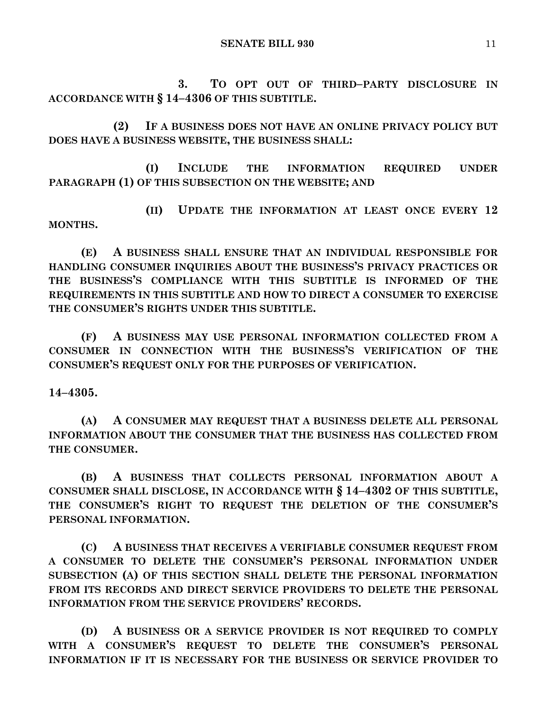**3. TO OPT OUT OF THIRD–PARTY DISCLOSURE IN ACCORDANCE WITH § 14–4306 OF THIS SUBTITLE.**

**(2) IF A BUSINESS DOES NOT HAVE AN ONLINE PRIVACY POLICY BUT DOES HAVE A BUSINESS WEBSITE, THE BUSINESS SHALL:**

**(I) INCLUDE THE INFORMATION REQUIRED UNDER PARAGRAPH (1) OF THIS SUBSECTION ON THE WEBSITE; AND** 

**(II) UPDATE THE INFORMATION AT LEAST ONCE EVERY 12 MONTHS.**

**(E) A BUSINESS SHALL ENSURE THAT AN INDIVIDUAL RESPONSIBLE FOR HANDLING CONSUMER INQUIRIES ABOUT THE BUSINESS'S PRIVACY PRACTICES OR THE BUSINESS'S COMPLIANCE WITH THIS SUBTITLE IS INFORMED OF THE REQUIREMENTS IN THIS SUBTITLE AND HOW TO DIRECT A CONSUMER TO EXERCISE THE CONSUMER'S RIGHTS UNDER THIS SUBTITLE.**

**(F) A BUSINESS MAY USE PERSONAL INFORMATION COLLECTED FROM A CONSUMER IN CONNECTION WITH THE BUSINESS'S VERIFICATION OF THE CONSUMER'S REQUEST ONLY FOR THE PURPOSES OF VERIFICATION.**

**14–4305.**

**(A) A CONSUMER MAY REQUEST THAT A BUSINESS DELETE ALL PERSONAL INFORMATION ABOUT THE CONSUMER THAT THE BUSINESS HAS COLLECTED FROM THE CONSUMER.**

**(B) A BUSINESS THAT COLLECTS PERSONAL INFORMATION ABOUT A CONSUMER SHALL DISCLOSE, IN ACCORDANCE WITH § 14–4302 OF THIS SUBTITLE, THE CONSUMER'S RIGHT TO REQUEST THE DELETION OF THE CONSUMER'S PERSONAL INFORMATION.**

**(C) A BUSINESS THAT RECEIVES A VERIFIABLE CONSUMER REQUEST FROM A CONSUMER TO DELETE THE CONSUMER'S PERSONAL INFORMATION UNDER SUBSECTION (A) OF THIS SECTION SHALL DELETE THE PERSONAL INFORMATION FROM ITS RECORDS AND DIRECT SERVICE PROVIDERS TO DELETE THE PERSONAL INFORMATION FROM THE SERVICE PROVIDERS' RECORDS.**

**(D) A BUSINESS OR A SERVICE PROVIDER IS NOT REQUIRED TO COMPLY WITH A CONSUMER'S REQUEST TO DELETE THE CONSUMER'S PERSONAL INFORMATION IF IT IS NECESSARY FOR THE BUSINESS OR SERVICE PROVIDER TO**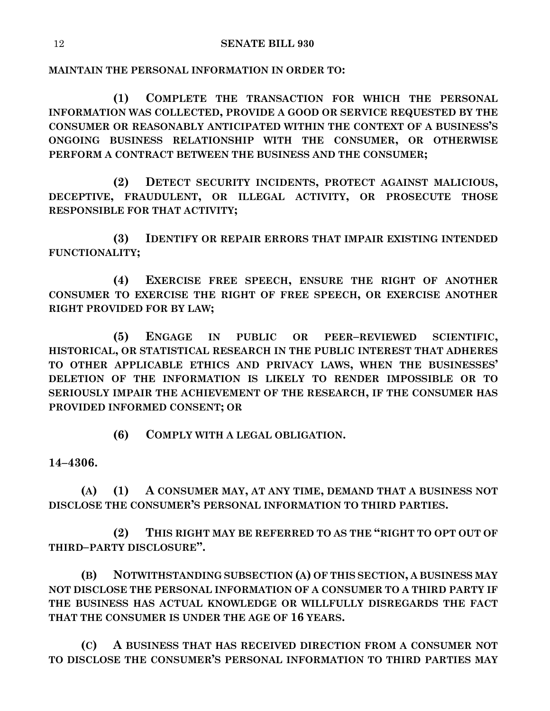**MAINTAIN THE PERSONAL INFORMATION IN ORDER TO:**

**(1) COMPLETE THE TRANSACTION FOR WHICH THE PERSONAL INFORMATION WAS COLLECTED, PROVIDE A GOOD OR SERVICE REQUESTED BY THE CONSUMER OR REASONABLY ANTICIPATED WITHIN THE CONTEXT OF A BUSINESS'S ONGOING BUSINESS RELATIONSHIP WITH THE CONSUMER, OR OTHERWISE PERFORM A CONTRACT BETWEEN THE BUSINESS AND THE CONSUMER;**

**(2) DETECT SECURITY INCIDENTS, PROTECT AGAINST MALICIOUS, DECEPTIVE, FRAUDULENT, OR ILLEGAL ACTIVITY, OR PROSECUTE THOSE RESPONSIBLE FOR THAT ACTIVITY;**

**(3) IDENTIFY OR REPAIR ERRORS THAT IMPAIR EXISTING INTENDED FUNCTIONALITY;**

**(4) EXERCISE FREE SPEECH, ENSURE THE RIGHT OF ANOTHER CONSUMER TO EXERCISE THE RIGHT OF FREE SPEECH, OR EXERCISE ANOTHER RIGHT PROVIDED FOR BY LAW;**

**(5) ENGAGE IN PUBLIC OR PEER–REVIEWED SCIENTIFIC, HISTORICAL, OR STATISTICAL RESEARCH IN THE PUBLIC INTEREST THAT ADHERES TO OTHER APPLICABLE ETHICS AND PRIVACY LAWS, WHEN THE BUSINESSES' DELETION OF THE INFORMATION IS LIKELY TO RENDER IMPOSSIBLE OR TO SERIOUSLY IMPAIR THE ACHIEVEMENT OF THE RESEARCH, IF THE CONSUMER HAS PROVIDED INFORMED CONSENT; OR**

**(6) COMPLY WITH A LEGAL OBLIGATION.**

**14–4306.**

**(A) (1) A CONSUMER MAY, AT ANY TIME, DEMAND THAT A BUSINESS NOT DISCLOSE THE CONSUMER'S PERSONAL INFORMATION TO THIRD PARTIES.**

**(2) THIS RIGHT MAY BE REFERRED TO AS THE "RIGHT TO OPT OUT OF THIRD–PARTY DISCLOSURE".**

**(B) NOTWITHSTANDING SUBSECTION (A) OF THIS SECTION, A BUSINESS MAY NOT DISCLOSE THE PERSONAL INFORMATION OF A CONSUMER TO A THIRD PARTY IF THE BUSINESS HAS ACTUAL KNOWLEDGE OR WILLFULLY DISREGARDS THE FACT THAT THE CONSUMER IS UNDER THE AGE OF 16 YEARS.**

**(C) A BUSINESS THAT HAS RECEIVED DIRECTION FROM A CONSUMER NOT TO DISCLOSE THE CONSUMER'S PERSONAL INFORMATION TO THIRD PARTIES MAY**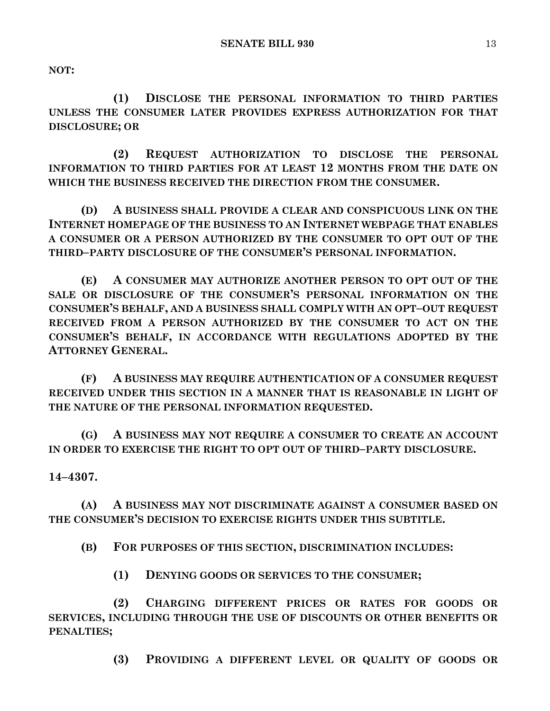**NOT:**

**(1) DISCLOSE THE PERSONAL INFORMATION TO THIRD PARTIES UNLESS THE CONSUMER LATER PROVIDES EXPRESS AUTHORIZATION FOR THAT DISCLOSURE; OR**

**(2) REQUEST AUTHORIZATION TO DISCLOSE THE PERSONAL INFORMATION TO THIRD PARTIES FOR AT LEAST 12 MONTHS FROM THE DATE ON WHICH THE BUSINESS RECEIVED THE DIRECTION FROM THE CONSUMER.**

**(D) A BUSINESS SHALL PROVIDE A CLEAR AND CONSPICUOUS LINK ON THE INTERNET HOMEPAGE OF THE BUSINESS TO AN INTERNET WEBPAGE THAT ENABLES A CONSUMER OR A PERSON AUTHORIZED BY THE CONSUMER TO OPT OUT OF THE THIRD–PARTY DISCLOSURE OF THE CONSUMER'S PERSONAL INFORMATION.**

**(E) A CONSUMER MAY AUTHORIZE ANOTHER PERSON TO OPT OUT OF THE SALE OR DISCLOSURE OF THE CONSUMER'S PERSONAL INFORMATION ON THE CONSUMER'S BEHALF, AND A BUSINESS SHALL COMPLY WITH AN OPT–OUT REQUEST RECEIVED FROM A PERSON AUTHORIZED BY THE CONSUMER TO ACT ON THE CONSUMER'S BEHALF, IN ACCORDANCE WITH REGULATIONS ADOPTED BY THE ATTORNEY GENERAL.**

**(F) A BUSINESS MAY REQUIRE AUTHENTICATION OF A CONSUMER REQUEST RECEIVED UNDER THIS SECTION IN A MANNER THAT IS REASONABLE IN LIGHT OF THE NATURE OF THE PERSONAL INFORMATION REQUESTED.**

**(G) A BUSINESS MAY NOT REQUIRE A CONSUMER TO CREATE AN ACCOUNT IN ORDER TO EXERCISE THE RIGHT TO OPT OUT OF THIRD–PARTY DISCLOSURE.**

**14–4307.**

**(A) A BUSINESS MAY NOT DISCRIMINATE AGAINST A CONSUMER BASED ON THE CONSUMER'S DECISION TO EXERCISE RIGHTS UNDER THIS SUBTITLE.**

**(B) FOR PURPOSES OF THIS SECTION, DISCRIMINATION INCLUDES:**

**(1) DENYING GOODS OR SERVICES TO THE CONSUMER;**

**(2) CHARGING DIFFERENT PRICES OR RATES FOR GOODS OR SERVICES, INCLUDING THROUGH THE USE OF DISCOUNTS OR OTHER BENEFITS OR PENALTIES;**

**(3) PROVIDING A DIFFERENT LEVEL OR QUALITY OF GOODS OR**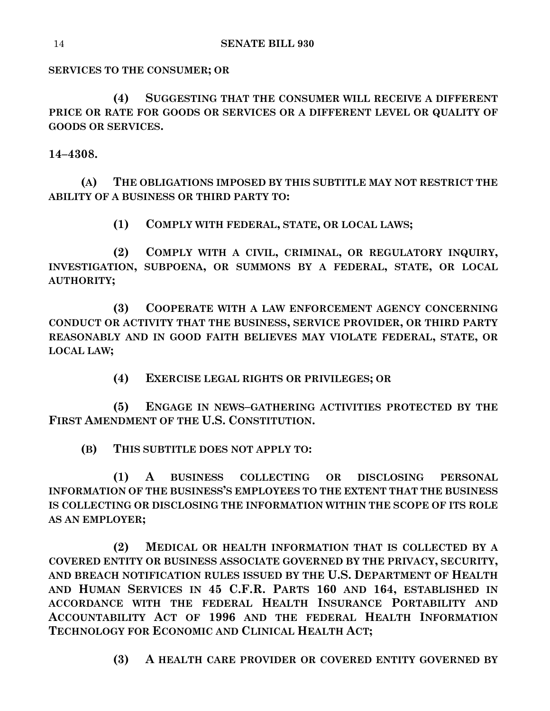**SERVICES TO THE CONSUMER; OR**

**(4) SUGGESTING THAT THE CONSUMER WILL RECEIVE A DIFFERENT PRICE OR RATE FOR GOODS OR SERVICES OR A DIFFERENT LEVEL OR QUALITY OF GOODS OR SERVICES.**

**14–4308.**

**(A) THE OBLIGATIONS IMPOSED BY THIS SUBTITLE MAY NOT RESTRICT THE ABILITY OF A BUSINESS OR THIRD PARTY TO:**

**(1) COMPLY WITH FEDERAL, STATE, OR LOCAL LAWS;**

**(2) COMPLY WITH A CIVIL, CRIMINAL, OR REGULATORY INQUIRY, INVESTIGATION, SUBPOENA, OR SUMMONS BY A FEDERAL, STATE, OR LOCAL AUTHORITY;**

**(3) COOPERATE WITH A LAW ENFORCEMENT AGENCY CONCERNING CONDUCT OR ACTIVITY THAT THE BUSINESS, SERVICE PROVIDER, OR THIRD PARTY REASONABLY AND IN GOOD FAITH BELIEVES MAY VIOLATE FEDERAL, STATE, OR LOCAL LAW;**

**(4) EXERCISE LEGAL RIGHTS OR PRIVILEGES; OR**

**(5) ENGAGE IN NEWS–GATHERING ACTIVITIES PROTECTED BY THE FIRST AMENDMENT OF THE U.S. CONSTITUTION.**

**(B) THIS SUBTITLE DOES NOT APPLY TO:**

**(1) A BUSINESS COLLECTING OR DISCLOSING PERSONAL INFORMATION OF THE BUSINESS'S EMPLOYEES TO THE EXTENT THAT THE BUSINESS IS COLLECTING OR DISCLOSING THE INFORMATION WITHIN THE SCOPE OF ITS ROLE AS AN EMPLOYER;**

**(2) MEDICAL OR HEALTH INFORMATION THAT IS COLLECTED BY A COVERED ENTITY OR BUSINESS ASSOCIATE GOVERNED BY THE PRIVACY, SECURITY, AND BREACH NOTIFICATION RULES ISSUED BY THE U.S. DEPARTMENT OF HEALTH AND HUMAN SERVICES IN 45 C.F.R. PARTS 160 AND 164, ESTABLISHED IN ACCORDANCE WITH THE FEDERAL HEALTH INSURANCE PORTABILITY AND ACCOUNTABILITY ACT OF 1996 AND THE FEDERAL HEALTH INFORMATION TECHNOLOGY FOR ECONOMIC AND CLINICAL HEALTH ACT;**

**(3) A HEALTH CARE PROVIDER OR COVERED ENTITY GOVERNED BY**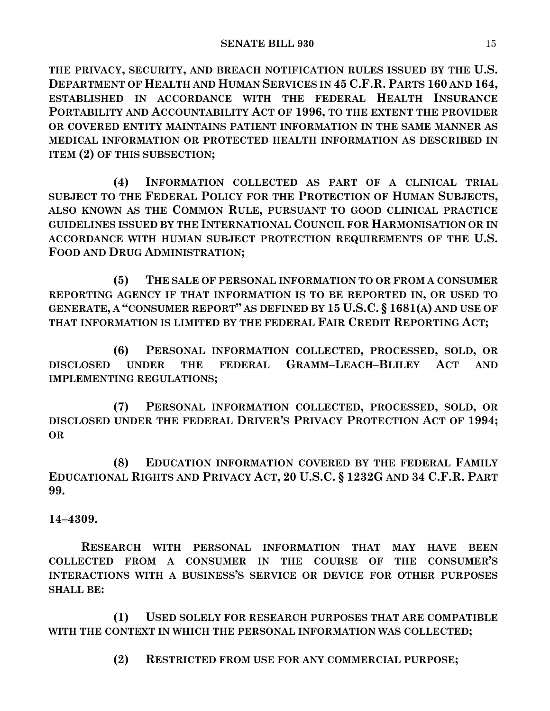**THE PRIVACY, SECURITY, AND BREACH NOTIFICATION RULES ISSUED BY THE U.S. DEPARTMENT OF HEALTH AND HUMAN SERVICES IN 45 C.F.R. PARTS 160 AND 164, ESTABLISHED IN ACCORDANCE WITH THE FEDERAL HEALTH INSURANCE PORTABILITY AND ACCOUNTABILITY ACT OF 1996, TO THE EXTENT THE PROVIDER OR COVERED ENTITY MAINTAINS PATIENT INFORMATION IN THE SAME MANNER AS MEDICAL INFORMATION OR PROTECTED HEALTH INFORMATION AS DESCRIBED IN ITEM (2) OF THIS SUBSECTION;**

**(4) INFORMATION COLLECTED AS PART OF A CLINICAL TRIAL SUBJECT TO THE FEDERAL POLICY FOR THE PROTECTION OF HUMAN SUBJECTS, ALSO KNOWN AS THE COMMON RULE, PURSUANT TO GOOD CLINICAL PRACTICE GUIDELINES ISSUED BY THE INTERNATIONAL COUNCIL FOR HARMONISATION OR IN ACCORDANCE WITH HUMAN SUBJECT PROTECTION REQUIREMENTS OF THE U.S. FOOD AND DRUG ADMINISTRATION;**

**(5) THE SALE OF PERSONAL INFORMATION TO OR FROM A CONSUMER REPORTING AGENCY IF THAT INFORMATION IS TO BE REPORTED IN, OR USED TO GENERATE, A "CONSUMER REPORT" AS DEFINED BY 15 U.S.C. § 1681(A) AND USE OF THAT INFORMATION IS LIMITED BY THE FEDERAL FAIR CREDIT REPORTING ACT;**

**(6) PERSONAL INFORMATION COLLECTED, PROCESSED, SOLD, OR DISCLOSED UNDER THE FEDERAL GRAMM–LEACH–BLILEY ACT AND IMPLEMENTING REGULATIONS;**

**(7) PERSONAL INFORMATION COLLECTED, PROCESSED, SOLD, OR DISCLOSED UNDER THE FEDERAL DRIVER'S PRIVACY PROTECTION ACT OF 1994; OR**

**(8) EDUCATION INFORMATION COVERED BY THE FEDERAL FAMILY EDUCATIONAL RIGHTS AND PRIVACY ACT, 20 U.S.C. § 1232G AND 34 C.F.R. PART 99.**

**14–4309.**

**RESEARCH WITH PERSONAL INFORMATION THAT MAY HAVE BEEN COLLECTED FROM A CONSUMER IN THE COURSE OF THE CONSUMER'S INTERACTIONS WITH A BUSINESS'S SERVICE OR DEVICE FOR OTHER PURPOSES SHALL BE:**

**(1) USED SOLELY FOR RESEARCH PURPOSES THAT ARE COMPATIBLE WITH THE CONTEXT IN WHICH THE PERSONAL INFORMATION WAS COLLECTED;**

**(2) RESTRICTED FROM USE FOR ANY COMMERCIAL PURPOSE;**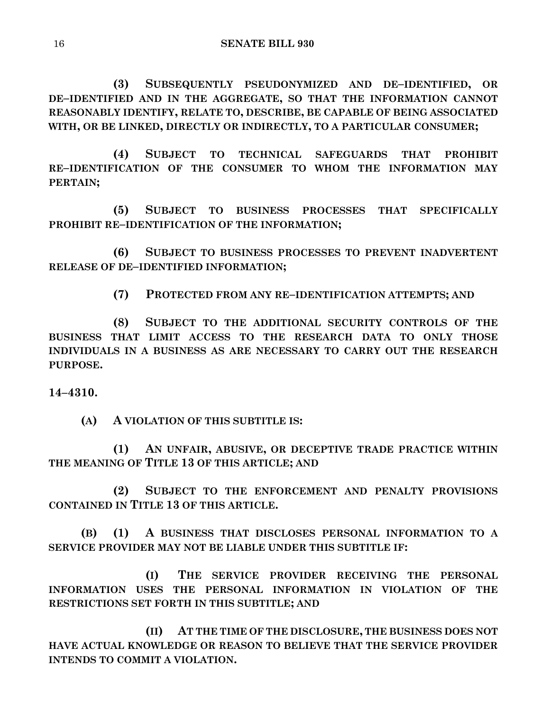**(3) SUBSEQUENTLY PSEUDONYMIZED AND DE–IDENTIFIED, OR DE–IDENTIFIED AND IN THE AGGREGATE, SO THAT THE INFORMATION CANNOT REASONABLY IDENTIFY, RELATE TO, DESCRIBE, BE CAPABLE OF BEING ASSOCIATED WITH, OR BE LINKED, DIRECTLY OR INDIRECTLY, TO A PARTICULAR CONSUMER;**

**(4) SUBJECT TO TECHNICAL SAFEGUARDS THAT PROHIBIT RE–IDENTIFICATION OF THE CONSUMER TO WHOM THE INFORMATION MAY PERTAIN;**

**(5) SUBJECT TO BUSINESS PROCESSES THAT SPECIFICALLY PROHIBIT RE–IDENTIFICATION OF THE INFORMATION;**

**(6) SUBJECT TO BUSINESS PROCESSES TO PREVENT INADVERTENT RELEASE OF DE–IDENTIFIED INFORMATION;**

**(7) PROTECTED FROM ANY RE–IDENTIFICATION ATTEMPTS; AND**

**(8) SUBJECT TO THE ADDITIONAL SECURITY CONTROLS OF THE BUSINESS THAT LIMIT ACCESS TO THE RESEARCH DATA TO ONLY THOSE INDIVIDUALS IN A BUSINESS AS ARE NECESSARY TO CARRY OUT THE RESEARCH PURPOSE.**

## **14–4310.**

**(A) A VIOLATION OF THIS SUBTITLE IS:**

**(1) AN UNFAIR, ABUSIVE, OR DECEPTIVE TRADE PRACTICE WITHIN THE MEANING OF TITLE 13 OF THIS ARTICLE; AND**

**(2) SUBJECT TO THE ENFORCEMENT AND PENALTY PROVISIONS CONTAINED IN TITLE 13 OF THIS ARTICLE.**

**(B) (1) A BUSINESS THAT DISCLOSES PERSONAL INFORMATION TO A SERVICE PROVIDER MAY NOT BE LIABLE UNDER THIS SUBTITLE IF:**

**(I) THE SERVICE PROVIDER RECEIVING THE PERSONAL INFORMATION USES THE PERSONAL INFORMATION IN VIOLATION OF THE RESTRICTIONS SET FORTH IN THIS SUBTITLE; AND**

**(II) AT THE TIME OF THE DISCLOSURE, THE BUSINESS DOES NOT HAVE ACTUAL KNOWLEDGE OR REASON TO BELIEVE THAT THE SERVICE PROVIDER INTENDS TO COMMIT A VIOLATION.**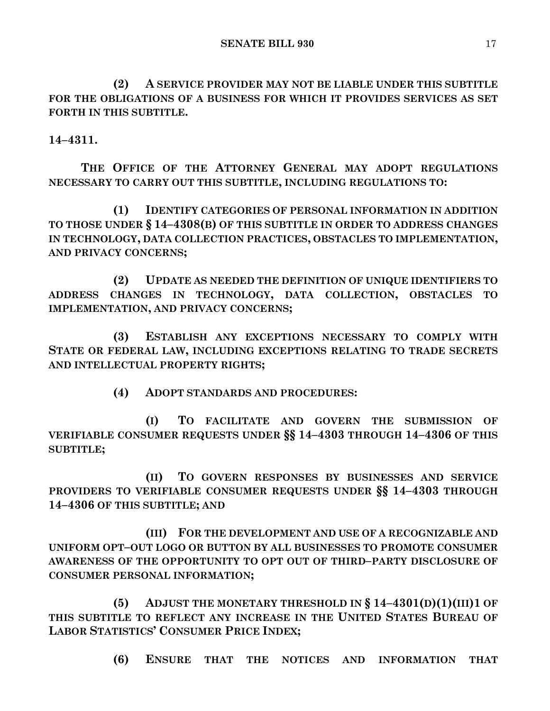**(2) A SERVICE PROVIDER MAY NOT BE LIABLE UNDER THIS SUBTITLE FOR THE OBLIGATIONS OF A BUSINESS FOR WHICH IT PROVIDES SERVICES AS SET FORTH IN THIS SUBTITLE.**

**14–4311.**

**THE OFFICE OF THE ATTORNEY GENERAL MAY ADOPT REGULATIONS NECESSARY TO CARRY OUT THIS SUBTITLE, INCLUDING REGULATIONS TO:**

**(1) IDENTIFY CATEGORIES OF PERSONAL INFORMATION IN ADDITION TO THOSE UNDER § 14–4308(B) OF THIS SUBTITLE IN ORDER TO ADDRESS CHANGES IN TECHNOLOGY, DATA COLLECTION PRACTICES, OBSTACLES TO IMPLEMENTATION, AND PRIVACY CONCERNS;**

**(2) UPDATE AS NEEDED THE DEFINITION OF UNIQUE IDENTIFIERS TO ADDRESS CHANGES IN TECHNOLOGY, DATA COLLECTION, OBSTACLES TO IMPLEMENTATION, AND PRIVACY CONCERNS;**

**(3) ESTABLISH ANY EXCEPTIONS NECESSARY TO COMPLY WITH STATE OR FEDERAL LAW, INCLUDING EXCEPTIONS RELATING TO TRADE SECRETS AND INTELLECTUAL PROPERTY RIGHTS;**

**(4) ADOPT STANDARDS AND PROCEDURES:**

**(I) TO FACILITATE AND GOVERN THE SUBMISSION OF VERIFIABLE CONSUMER REQUESTS UNDER §§ 14–4303 THROUGH 14–4306 OF THIS SUBTITLE;**

**(II) TO GOVERN RESPONSES BY BUSINESSES AND SERVICE PROVIDERS TO VERIFIABLE CONSUMER REQUESTS UNDER §§ 14–4303 THROUGH 14–4306 OF THIS SUBTITLE; AND**

**(III) FOR THE DEVELOPMENT AND USE OF A RECOGNIZABLE AND UNIFORM OPT–OUT LOGO OR BUTTON BY ALL BUSINESSES TO PROMOTE CONSUMER AWARENESS OF THE OPPORTUNITY TO OPT OUT OF THIRD–PARTY DISCLOSURE OF CONSUMER PERSONAL INFORMATION;**

**(5) ADJUST THE MONETARY THRESHOLD IN § 14–4301(D)(1)(III)1 OF THIS SUBTITLE TO REFLECT ANY INCREASE IN THE UNITED STATES BUREAU OF LABOR STATISTICS' CONSUMER PRICE INDEX;**

**(6) ENSURE THAT THE NOTICES AND INFORMATION THAT**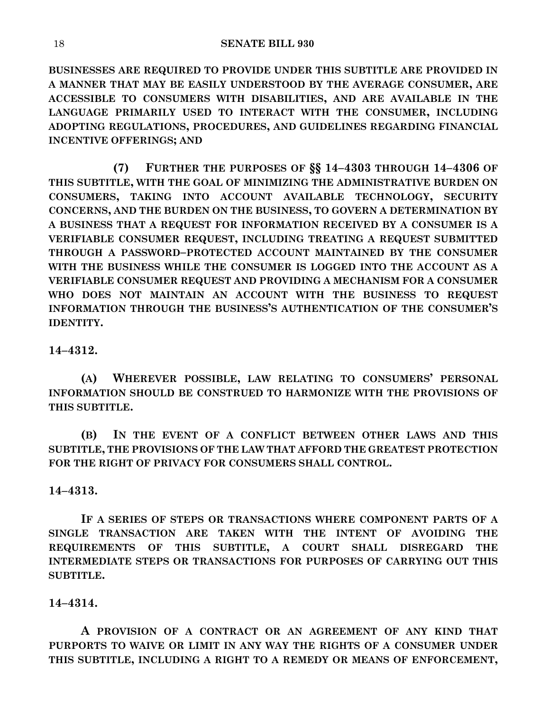**BUSINESSES ARE REQUIRED TO PROVIDE UNDER THIS SUBTITLE ARE PROVIDED IN A MANNER THAT MAY BE EASILY UNDERSTOOD BY THE AVERAGE CONSUMER, ARE ACCESSIBLE TO CONSUMERS WITH DISABILITIES, AND ARE AVAILABLE IN THE LANGUAGE PRIMARILY USED TO INTERACT WITH THE CONSUMER, INCLUDING ADOPTING REGULATIONS, PROCEDURES, AND GUIDELINES REGARDING FINANCIAL INCENTIVE OFFERINGS; AND**

**(7) FURTHER THE PURPOSES OF §§ 14–4303 THROUGH 14–4306 OF THIS SUBTITLE, WITH THE GOAL OF MINIMIZING THE ADMINISTRATIVE BURDEN ON CONSUMERS, TAKING INTO ACCOUNT AVAILABLE TECHNOLOGY, SECURITY CONCERNS, AND THE BURDEN ON THE BUSINESS, TO GOVERN A DETERMINATION BY A BUSINESS THAT A REQUEST FOR INFORMATION RECEIVED BY A CONSUMER IS A VERIFIABLE CONSUMER REQUEST, INCLUDING TREATING A REQUEST SUBMITTED THROUGH A PASSWORD–PROTECTED ACCOUNT MAINTAINED BY THE CONSUMER WITH THE BUSINESS WHILE THE CONSUMER IS LOGGED INTO THE ACCOUNT AS A VERIFIABLE CONSUMER REQUEST AND PROVIDING A MECHANISM FOR A CONSUMER WHO DOES NOT MAINTAIN AN ACCOUNT WITH THE BUSINESS TO REQUEST INFORMATION THROUGH THE BUSINESS'S AUTHENTICATION OF THE CONSUMER'S IDENTITY.**

## **14–4312.**

**(A) WHEREVER POSSIBLE, LAW RELATING TO CONSUMERS' PERSONAL INFORMATION SHOULD BE CONSTRUED TO HARMONIZE WITH THE PROVISIONS OF THIS SUBTITLE.**

**(B) IN THE EVENT OF A CONFLICT BETWEEN OTHER LAWS AND THIS SUBTITLE, THE PROVISIONS OF THE LAW THAT AFFORD THE GREATEST PROTECTION FOR THE RIGHT OF PRIVACY FOR CONSUMERS SHALL CONTROL.**

## **14–4313.**

**IF A SERIES OF STEPS OR TRANSACTIONS WHERE COMPONENT PARTS OF A SINGLE TRANSACTION ARE TAKEN WITH THE INTENT OF AVOIDING THE REQUIREMENTS OF THIS SUBTITLE, A COURT SHALL DISREGARD THE INTERMEDIATE STEPS OR TRANSACTIONS FOR PURPOSES OF CARRYING OUT THIS SUBTITLE.**

## **14–4314.**

**A PROVISION OF A CONTRACT OR AN AGREEMENT OF ANY KIND THAT PURPORTS TO WAIVE OR LIMIT IN ANY WAY THE RIGHTS OF A CONSUMER UNDER THIS SUBTITLE, INCLUDING A RIGHT TO A REMEDY OR MEANS OF ENFORCEMENT,**